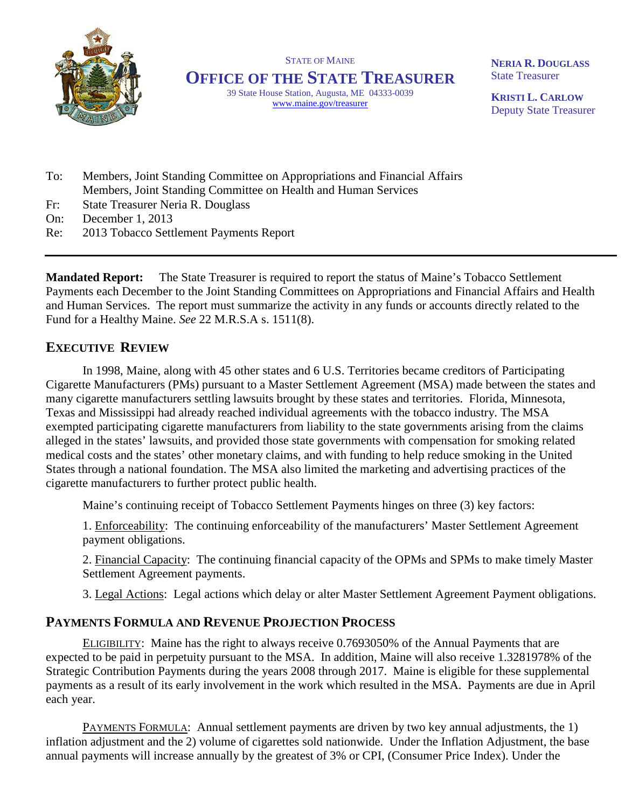

STATE OF MAINE **OFFICE OF THE STATE TREASURER**

> 39 State House Station, Augusta, ME 04333-0039 www.maine.gov/treasurer

**NERIA R. DOUGLASS** State Treasurer

**KRISTI L. CARLOW** Deputy State Treasurer

- To: Members, Joint Standing Committee on Appropriations and Financial Affairs Members, Joint Standing Committee on Health and Human Services
- Fr: State Treasurer Neria R. Douglass
- On: December 1, 2013
- Re: 2013 Tobacco Settlement Payments Report

**Mandated Report:** The State Treasurer is required to report the status of Maine's Tobacco Settlement Payments each December to the Joint Standing Committees on Appropriations and Financial Affairs and Health and Human Services. The report must summarize the activity in any funds or accounts directly related to the Fund for a Healthy Maine. *See* 22 M.R.S.A s. 1511(8).

## **EXECUTIVE REVIEW**

In 1998, Maine, along with 45 other states and 6 U.S. Territories became creditors of Participating Cigarette Manufacturers (PMs) pursuant to a Master Settlement Agreement (MSA) made between the states and many cigarette manufacturers settling lawsuits brought by these states and territories. Florida, Minnesota, Texas and Mississippi had already reached individual agreements with the tobacco industry. The MSA exempted participating cigarette manufacturers from liability to the state governments arising from the claims alleged in the states' lawsuits, and provided those state governments with compensation for smoking related medical costs and the states' other monetary claims, and with funding to help reduce smoking in the United States through a national foundation. The MSA also limited the marketing and advertising practices of the cigarette manufacturers to further protect public health.

Maine's continuing receipt of Tobacco Settlement Payments hinges on three (3) key factors:

1. Enforceability: The continuing enforceability of the manufacturers' Master Settlement Agreement payment obligations.

2. Financial Capacity: The continuing financial capacity of the OPMs and SPMs to make timely Master Settlement Agreement payments.

3. Legal Actions: Legal actions which delay or alter Master Settlement Agreement Payment obligations.

## **PAYMENTS FORMULA AND REVENUE PROJECTION PROCESS**

ELIGIBILITY: Maine has the right to always receive 0.7693050% of the Annual Payments that are expected to be paid in perpetuity pursuant to the MSA. In addition, Maine will also receive 1.3281978% of the Strategic Contribution Payments during the years 2008 through 2017. Maine is eligible for these supplemental payments as a result of its early involvement in the work which resulted in the MSA. Payments are due in April each year.

PAYMENTS FORMULA: Annual settlement payments are driven by two key annual adjustments, the 1) inflation adjustment and the 2) volume of cigarettes sold nationwide. Under the Inflation Adjustment, the base annual payments will increase annually by the greatest of 3% or CPI, (Consumer Price Index). Under the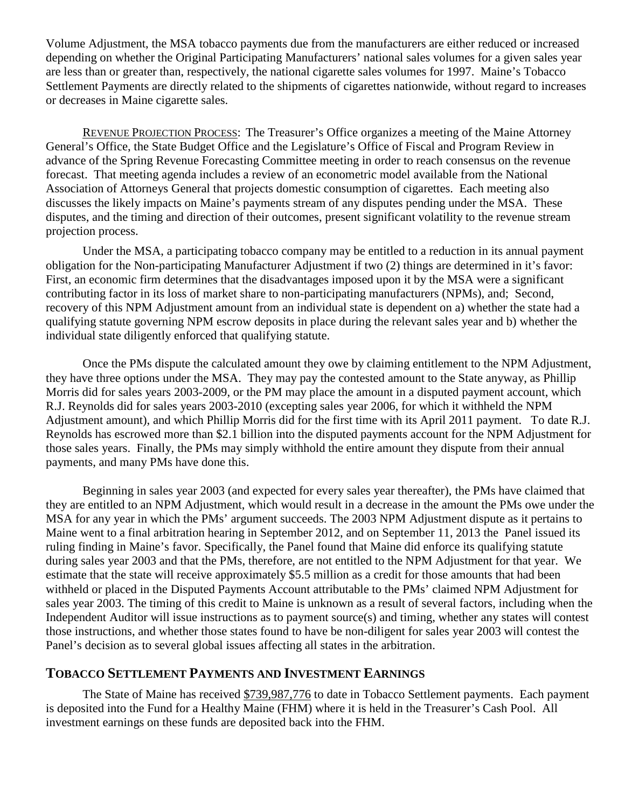Volume Adjustment, the MSA tobacco payments due from the manufacturers are either reduced or increased depending on whether the Original Participating Manufacturers' national sales volumes for a given sales year are less than or greater than, respectively, the national cigarette sales volumes for 1997. Maine's Tobacco Settlement Payments are directly related to the shipments of cigarettes nationwide, without regard to increases or decreases in Maine cigarette sales.

REVENUE PROJECTION PROCESS: The Treasurer's Office organizes a meeting of the Maine Attorney General's Office, the State Budget Office and the Legislature's Office of Fiscal and Program Review in advance of the Spring Revenue Forecasting Committee meeting in order to reach consensus on the revenue forecast. That meeting agenda includes a review of an econometric model available from the National Association of Attorneys General that projects domestic consumption of cigarettes. Each meeting also discusses the likely impacts on Maine's payments stream of any disputes pending under the MSA. These disputes, and the timing and direction of their outcomes, present significant volatility to the revenue stream projection process.

Under the MSA, a participating tobacco company may be entitled to a reduction in its annual payment obligation for the Non-participating Manufacturer Adjustment if two (2) things are determined in it's favor: First, an economic firm determines that the disadvantages imposed upon it by the MSA were a significant contributing factor in its loss of market share to non-participating manufacturers (NPMs), and; Second, recovery of this NPM Adjustment amount from an individual state is dependent on a) whether the state had a qualifying statute governing NPM escrow deposits in place during the relevant sales year and b) whether the individual state diligently enforced that qualifying statute.

Once the PMs dispute the calculated amount they owe by claiming entitlement to the NPM Adjustment, they have three options under the MSA. They may pay the contested amount to the State anyway, as Phillip Morris did for sales years 2003-2009, or the PM may place the amount in a disputed payment account, which R.J. Reynolds did for sales years 2003-2010 (excepting sales year 2006, for which it withheld the NPM Adjustment amount), and which Phillip Morris did for the first time with its April 2011 payment. To date R.J. Reynolds has escrowed more than \$2.1 billion into the disputed payments account for the NPM Adjustment for those sales years. Finally, the PMs may simply withhold the entire amount they dispute from their annual payments, and many PMs have done this.

Beginning in sales year 2003 (and expected for every sales year thereafter), the PMs have claimed that they are entitled to an NPM Adjustment, which would result in a decrease in the amount the PMs owe under the MSA for any year in which the PMs' argument succeeds. The 2003 NPM Adjustment dispute as it pertains to Maine went to a final arbitration hearing in September 2012, and on September 11, 2013 the Panel issued its ruling finding in Maine's favor. Specifically, the Panel found that Maine did enforce its qualifying statute during sales year 2003 and that the PMs, therefore, are not entitled to the NPM Adjustment for that year. We estimate that the state will receive approximately \$5.5 million as a credit for those amounts that had been withheld or placed in the Disputed Payments Account attributable to the PMs' claimed NPM Adjustment for sales year 2003. The timing of this credit to Maine is unknown as a result of several factors, including when the Independent Auditor will issue instructions as to payment source(s) and timing, whether any states will contest those instructions, and whether those states found to have be non-diligent for sales year 2003 will contest the Panel's decision as to several global issues affecting all states in the arbitration.

## **TOBACCO SETTLEMENT PAYMENTS AND INVESTMENT EARNINGS**

The State of Maine has received \$739,987,776 to date in Tobacco Settlement payments. Each payment is deposited into the Fund for a Healthy Maine (FHM) where it is held in the Treasurer's Cash Pool. All investment earnings on these funds are deposited back into the FHM.